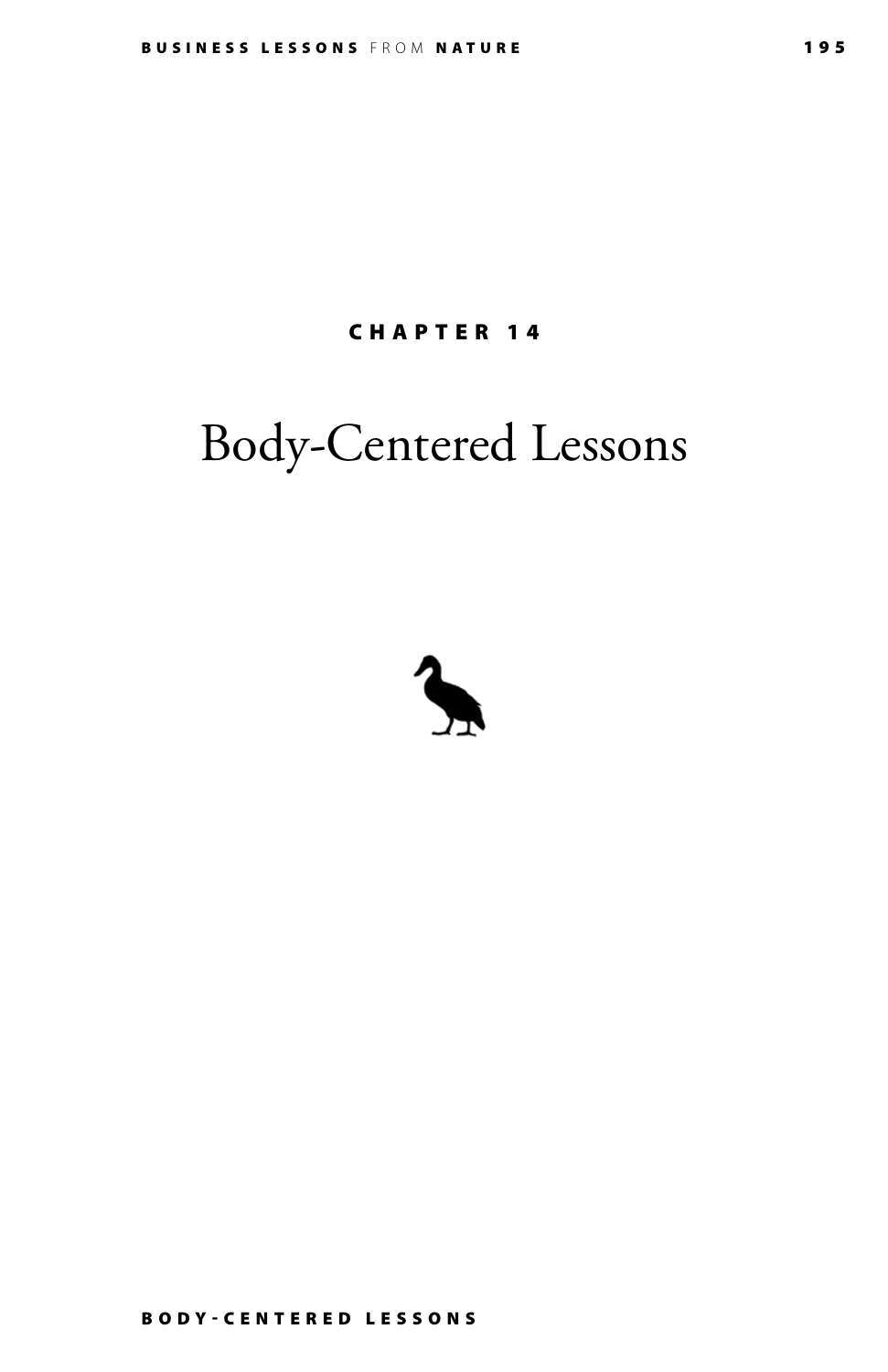## C H A P T E R 1 4

## Body-Centered Lessons

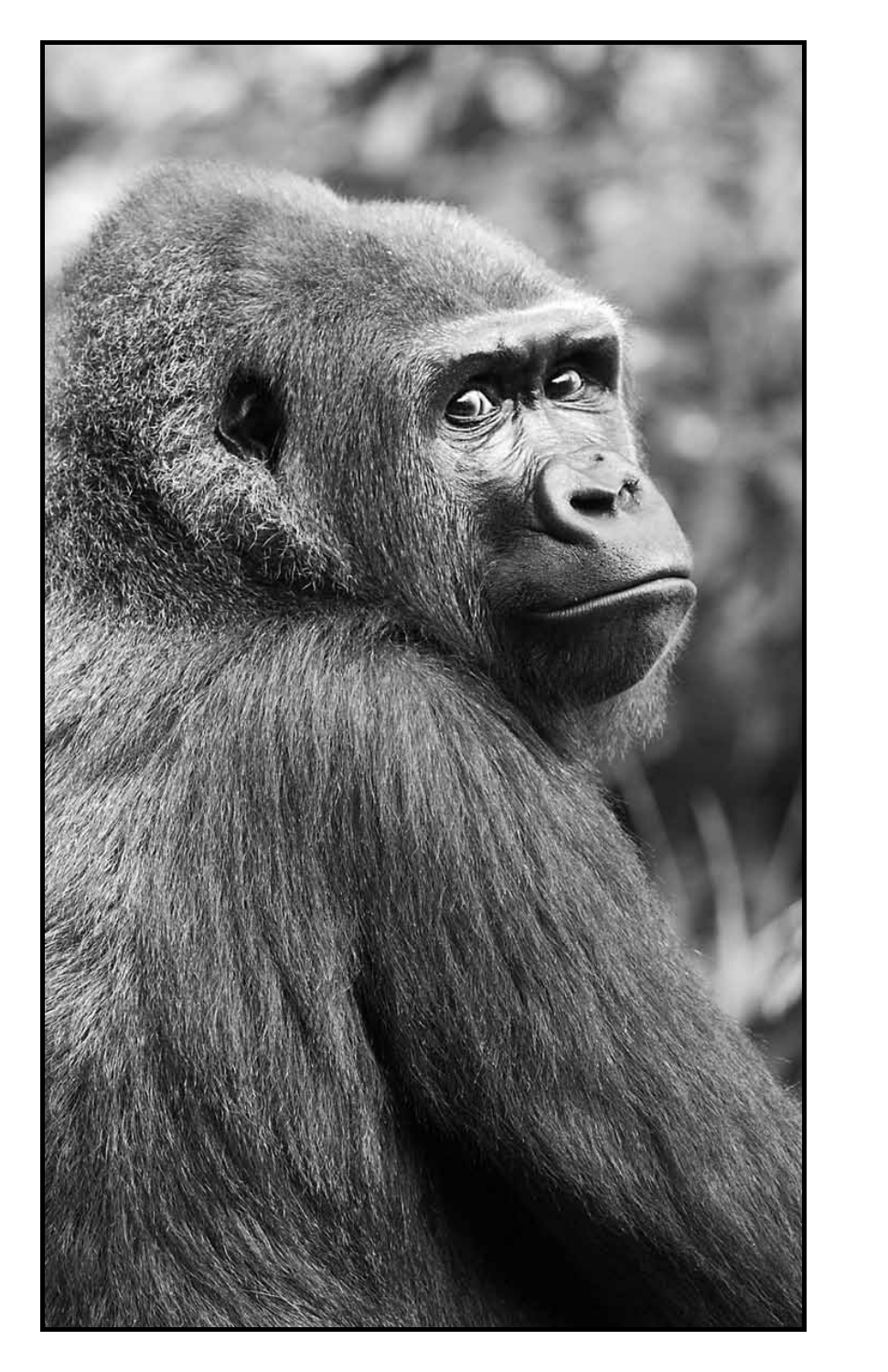